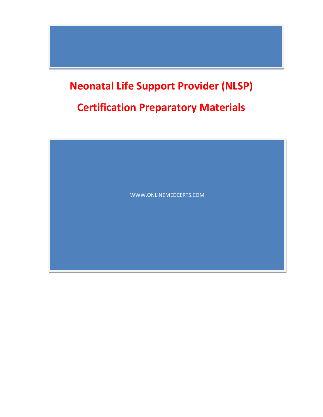# **Neonatal Life Support Provider (NLSP)**

# **Certification Preparatory Materials**

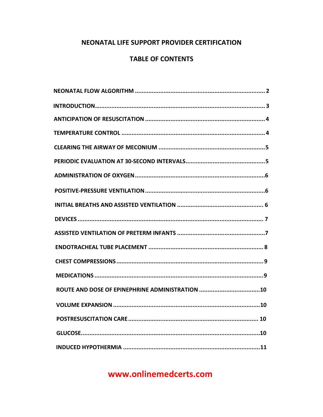### NEONATAL LIFE SUPPORT PROVIDER CERTIFICATION

### **TABLE OF CONTENTS**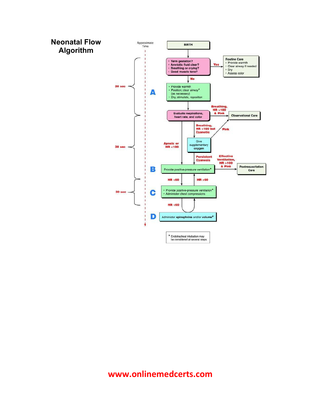<span id="page-2-0"></span>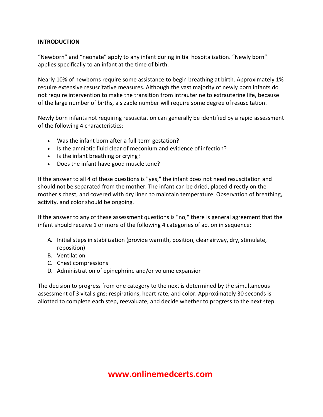### <span id="page-3-0"></span>**INTRODUCTION**

"Newborn" and "neonate" apply to any infant during initial hospitalization. "Newly born" applies specifically to an infant at the time of birth.

Nearly 10% of newborns require some assistance to begin breathing at birth. Approximately 1% require extensive resuscitative measures. Although the vast majority of newly born infants do not require intervention to make the transition from intrauterine to extrauterine life, because of the large number of births, a sizable number will require some degree ofresuscitation.

Newly born infants not requiring resuscitation can generally be identified by a rapid assessment of the following 4 characteristics:

- Was the infant born after a full-term gestation?
- Is the amniotic fluid clear of meconium and evidence of infection?
- Is the infant breathing or crying?
- Does the infant have good muscle tone?

If the answer to all 4 of these questions is "yes," the infant does not need resuscitation and should not be separated from the mother. The infant can be dried, placed directly on the mother's chest, and covered with dry linen to maintain temperature. Observation of breathing, activity, and color should be ongoing.

If the answer to any of these assessment questions is "no," there is general agreement that the infant should receive 1 or more of the following 4 categories of action in sequence:

- A. Initial steps in stabilization (provide warmth, position, clear airway, dry, stimulate, reposition)
- B. Ventilation
- C. Chest compressions
- D. Administration of epinephrine and/or volume expansion

The decision to progress from one category to the next is determined by the simultaneous assessment of 3 vital signs: respirations, heart rate, and color. Approximately 30 seconds is allotted to complete each step, reevaluate, and decide whether to progress to the next step.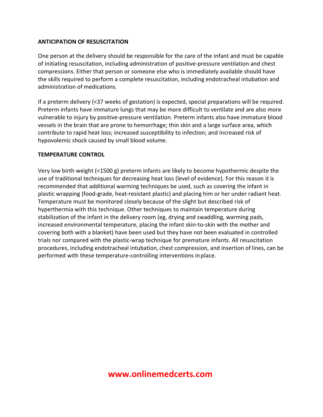### <span id="page-4-0"></span>**ANTICIPATION OF RESUSCITATION**

One person at the delivery should be responsible for the care of the infant and must be capable of initiating resuscitation, including administration of positive-pressure ventilation and chest compressions. Either that person or someone else who is immediately available should have the skills required to perform a complete resuscitation, including endotracheal intubation and administration of medications.

If a preterm delivery (<37 weeks of gestation) is expected, special preparations will be required. Preterm infants have immature lungs that may be more difficult to ventilate and are also more vulnerable to injury by positive-pressure ventilation. Preterm infants also have immature blood vessels in the brain that are prone to hemorrhage; thin skin and a large surface area, which contribute to rapid heat loss; increased susceptibility to infection; and increased risk of hypovolemic shock caused by small blood volume.

### <span id="page-4-1"></span>**TEMPERATURE CONTROL**

Very low birth weight (<1500 g) preterm infants are likely to become hypothermic despite the use of traditional techniques for decreasing heat loss (level of evidence). For this reason it is recommended that additional warming techniques be used, such as covering the infant in plastic wrapping (food-grade, heat-resistant plastic) and placing him or her under radiant heat. Temperature must be monitored closely because of the slight but described risk of hyperthermia with this technique. Other techniques to maintain temperature during stabilization of the infant in the delivery room (eg, drying and swaddling, warming pads, increased environmental temperature, placing the infant skin-to-skin with the mother and covering both with a blanket) have been used but they have not been evaluated in controlled trials nor compared with the plastic-wrap technique for premature infants. All resuscitation procedures, including endotracheal intubation, chest compression, and insertion of lines, can be performed with these temperature-controlling interventions inplace.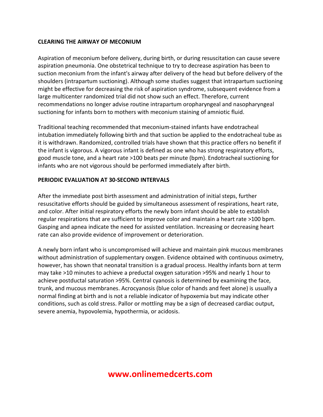#### <span id="page-5-0"></span>**CLEARING THE AIRWAY OF MECONIUM**

Aspiration of meconium before delivery, during birth, or during resuscitation can cause severe aspiration pneumonia. One obstetrical technique to try to decrease aspiration has been to suction meconium from the infant's airway after delivery of the head but before delivery of the shoulders (intrapartum suctioning). Although some studies suggest that intrapartum suctioning might be effective for decreasing the risk of aspiration syndrome, subsequent evidence from a large multicenter randomized trial did not show such an effect. Therefore, current recommendations no longer advise routine intrapartum oropharyngeal and nasopharyngeal suctioning for infants born to mothers with meconium staining of amniotic fluid.

Traditional teaching recommended that meconium-stained infants have endotracheal intubation immediately following birth and that suction be applied to the endotracheal tube as it is withdrawn. Randomized, controlled trials have shown that this practice offers no benefit if the infant is vigorous. A vigorous infant is defined as one who has strong respiratory efforts, good muscle tone, and a heart rate >100 beats per minute (bpm). Endotracheal suctioning for infants who are not vigorous should be performed immediately after birth.

#### <span id="page-5-1"></span>**PERIODIC EVALUATION AT 30-SECOND INTERVALS**

After the immediate post birth assessment and administration of initial steps, further resuscitative efforts should be guided by simultaneous assessment of respirations, heart rate, and color. After initial respiratory efforts the newly born infant should be able to establish regular respirations that are sufficient to improve color and maintain a heart rate >100 bpm. Gasping and apnea indicate the need for assisted ventilation. Increasing or decreasing heart rate can also provide evidence of improvement or deterioration.

A newly born infant who is uncompromised will achieve and maintain pink mucous membranes without administration of supplementary oxygen. Evidence obtained with continuous oximetry, however, has shown that neonatal transition is a gradual process. Healthy infants born at term may take >10 minutes to achieve a preductal oxygen saturation >95% and nearly 1 hour to achieve postductal saturation >95%. Central cyanosis is determined by examining the face, trunk, and mucous membranes. Acrocyanosis (blue color of hands and feet alone) is usually a normal finding at birth and is not a reliable indicator of hypoxemia but may indicate other conditions, such as cold stress. Pallor or mottling may be a sign of decreased cardiac output, severe anemia, hypovolemia, hypothermia, or acidosis.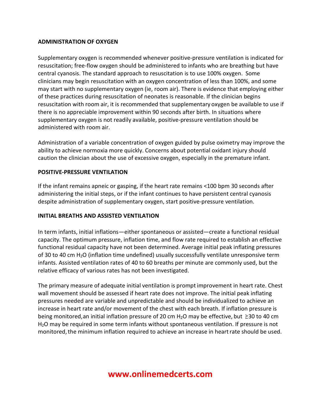### <span id="page-6-0"></span>**ADMINISTRATION OF OXYGEN**

Supplementary oxygen is recommended whenever positive-pressure ventilation is indicated for resuscitation; free-flow oxygen should be administered to infants who are breathing but have central cyanosis. The standard approach to resuscitation is to use 100% oxygen. Some clinicians may begin resuscitation with an oxygen concentration of less than 100%, and some may start with no supplementary oxygen (ie, room air). There is evidence that employing either of these practices during resuscitation of neonates is reasonable. If the clinician begins resuscitation with room air, it is recommended that supplementary oxygen be available to use if there is no appreciable improvement within 90 seconds after birth. In situations where supplementary oxygen is not readily available, positive-pressure ventilation should be administered with room air.

Administration of a variable concentration of oxygen guided by pulse oximetry may improve the ability to achieve normoxia more quickly. Concerns about potential oxidant injury should caution the clinician about the use of excessive oxygen, especially in the premature infant.

### <span id="page-6-1"></span>**POSITIVE-PRESSURE VENTILATION**

If the infant remains apneic or gasping, if the heart rate remains <100 bpm 30 seconds after administering the initial steps, or if the infant continues to have persistent central cyanosis despite administration of supplementary oxygen, start positive-pressure ventilation.

### <span id="page-6-2"></span>**INITIAL BREATHS AND ASSISTED VENTILATION**

In term infants, initial inflations—either spontaneous or assisted—create a functional residual capacity. The optimum pressure, inflation time, and flow rate required to establish an effective functional residual capacity have not been determined. Average initial peak inflating pressures of 30 to 40 cm H2O (inflation time undefined) usually successfully ventilate unresponsive term infants. Assisted ventilation rates of 40 to 60 breaths per minute are commonly used, but the relative efficacy of various rates has not been investigated.

The primary measure of adequate initial ventilation is promptimprovement in heart rate. Chest wall movement should be assessed if heart rate does not improve. The initial peak inflating pressures needed are variable and unpredictable and should be individualized to achieve an increase in heart rate and/or movement of the chest with each breath. If inflation pressure is being monitored, an initial inflation pressure of 20 cm  $H_2O$  may be effective, but  $\geq 30$  to 40 cm H<sub>2</sub>O may be required in some term infants without spontaneous ventilation. If pressure is not monitored, the minimum inflation required to achieve an increase in heart rate should be used.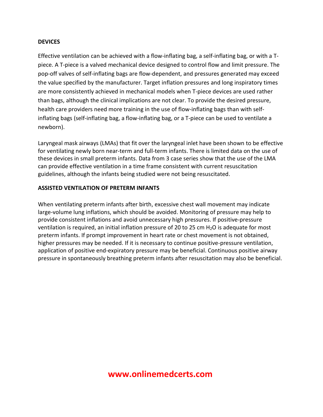### <span id="page-7-0"></span>**DEVICES**

Effective ventilation can be achieved with a flow-inflating bag, a self-inflating bag, or with a Tpiece. A T-piece is a valved mechanical device designed to control flow and limit pressure. The pop-off valves of self-inflating bags are flow-dependent, and pressures generated may exceed the value specified by the manufacturer. Target inflation pressures and long inspiratory times are more consistently achieved in mechanical models when T-piece devices are used rather than bags, although the clinical implications are not clear. To provide the desired pressure, health care providers need more training in the use of flow-inflating bags than with selfinflating bags (self-inflating bag, a flow-inflating bag, or a T-piece can be used to ventilate a newborn).

Laryngeal mask airways (LMAs) that fit over the laryngeal inlet have been shown to be effective for ventilating newly born near-term and full-term infants. There is limited data on the use of these devices in small preterm infants. Data from 3 case series show that the use of the LMA can provide effective ventilation in a time frame consistent with current resuscitation guidelines, although the infants being studied were not being resuscitated.

### <span id="page-7-1"></span>**ASSISTED VENTILATION OF PRETERM INFANTS**

When ventilating preterm infants after birth, excessive chest wall movement may indicate large-volume lung inflations, which should be avoided. Monitoring of pressure may help to provide consistent inflations and avoid unnecessary high pressures. If positive-pressure ventilation is required, an initial inflation pressure of 20 to 25 cm  $H_2O$  is adequate for most preterm infants. If prompt improvement in heart rate or chest movement is not obtained, higher pressures may be needed. If it is necessary to continue positive-pressure ventilation, application of positive end-expiratory pressure may be beneficial. Continuous positive airway pressure in spontaneously breathing preterm infants after resuscitation may also be beneficial.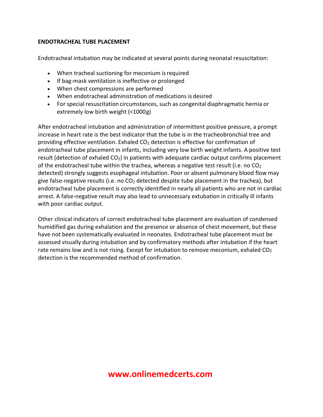### <span id="page-8-0"></span>**ENDOTRACHEAL TUBE PLACEMENT**

Endotracheal intubation may be indicated at several points during neonatal resuscitation:

- When tracheal suctioning for meconium is required
- If bag-mask ventilation is ineffective or prolonged
- When chest compressions are performed
- When endotracheal administration of medications is desired
- For special resuscitation circumstances, such as congenital diaphragmatic hernia or extremely low birth weight (<1000g)

After endotracheal intubation and administration of intermittent positive pressure, a prompt increase in heart rate is the best indicator that the tube is in the tracheobronchial tree and providing effective ventilation. Exhaled  $CO<sub>2</sub>$  detection is effective for confirmation of endotracheal tube placement in infants, including very low birth weight infants. A positive test result (detection of exhaled  $CO<sub>2</sub>$ ) in patients with adequate cardiac output confirms placement of the endotracheal tube within the trachea, whereas a negative test result (i.e. no  $CO<sub>2</sub>$ detected) strongly suggests esophageal intubation. Poor or absent pulmonary blood flow may give false-negative results (i.e. no  $CO<sub>2</sub>$  detected despite tube placement in the trachea), but endotracheal tube placement is correctly identified in nearly all patients who are not in cardiac arrest. A false-negative result may also lead to unnecessary extubation in critically ill infants with poor cardiac output.

Other clinical indicators of correct endotracheal tube placement are evaluation of condensed humidified gas during exhalation and the presence or absence of chest movement, but these have not been systematically evaluated in neonates. Endotracheal tube placement must be assessed visually during intubation and by confirmatory methods after intubation if the heart rate remains low and is not rising. Except for intubation to remove meconium, exhaled  $CO<sub>2</sub>$ detection is the recommended method of confirmation.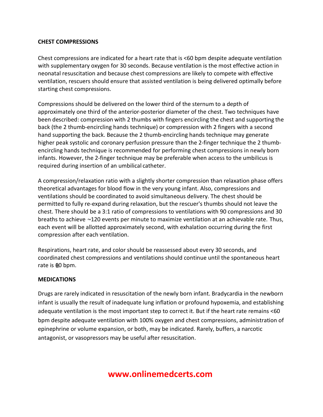### <span id="page-9-0"></span>**CHEST COMPRESSIONS**

Chest compressions are indicated for a heart rate that is <60 bpm despite adequate ventilation with supplementary oxygen for 30 seconds. Because ventilation is the most effective action in neonatal resuscitation and because chest compressions are likely to compete with effective ventilation, rescuers should ensure that assisted ventilation is being delivered optimally before starting chest compressions.

Compressions should be delivered on the lower third of the sternum to a depth of approximately one third of the anterior-posterior diameter of the chest. Two techniques have been described: compression with 2 thumbs with fingers encircling the chest and supporting the back (the 2 thumb-encircling hands technique) or compression with 2 fingers with a second hand supporting the back. Because the 2 thumb-encircling hands technique may generate higher peak systolic and coronary perfusion pressure than the 2-finger technique the 2 thumbencircling hands technique is recommended for performing chest compressions in newly born infants. However, the 2-finger technique may be preferable when access to the umbilicus is required during insertion of an umbilical catheter.

A compression/relaxation ratio with a slightly shorter compression than relaxation phase offers theoretical advantages for blood flow in the very young infant. Also, compressions and ventilations should be coordinated to avoid simultaneous delivery. The chest should be permitted to fully re-expand during relaxation, but the rescuer's thumbs should not leave the chest. There should be a 3:1 ratio of compressions to ventilations with 90 compressions and 30 breaths to achieve  $\approx$  120 events per minute to maximize ventilation at an achievable rate. Thus, each event will be allotted approximately second, with exhalation occurring during the first compression after each ventilation.

Respirations, heart rate, and color should be reassessed about every 30 seconds, and coordinated chest compressions and ventilations should continue until the spontaneous heart rate is 60 bpm.

### <span id="page-9-1"></span>**MEDICATIONS**

Drugs are rarely indicated in resuscitation of the newly born infant. Bradycardia in the newborn infant is usually the result of inadequate lung inflation or profound hypoxemia, and establishing adequate ventilation is the most important step to correct it. But if the heart rate remains <60 bpm despite adequate ventilation with 100% oxygen and chest compressions, administration of epinephrine or volume expansion, or both, may be indicated. Rarely, buffers, a narcotic antagonist, or vasopressors may be useful after resuscitation.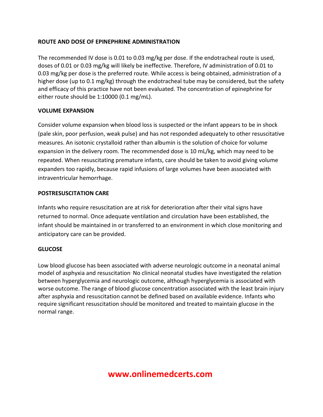### <span id="page-10-0"></span>**ROUTE AND DOSE OF EPINEPHRINE ADMINISTRATION**

The recommended IV dose is 0.01 to 0.03 mg/kg per dose. If the endotracheal route is used, doses of 0.01 or 0.03 mg/kg will likely be ineffective. Therefore, IV administration of 0.01 to 0.03 mg/kg per dose is the preferred route. While access is being obtained, administration of a higher dose (up to 0.1 mg/kg) through the endotracheal tube may be considered, but the safety and efficacy of this practice have not been evaluated. The concentration of epinephrine for either route should be 1:10000 (0.1 mg/mL).

### <span id="page-10-1"></span>**VOLUME EXPANSION**

Consider volume expansion when blood loss is suspected or the infant appears to be in shock (pale skin, poor perfusion, weak pulse) and has not responded adequately to other resuscitative measures. An isotonic crystalloid rather than albumin is the solution of choice for volume expansion in the delivery room. The recommended dose is 10 mL/kg, which may need to be repeated. When resuscitating premature infants, care should be taken to avoid giving volume expanders too rapidly, because rapid infusions of large volumes have been associated with intraventricular hemorrhage.

### <span id="page-10-2"></span>**POSTRESUSCITATION CARE**

Infants who require resuscitation are at risk for deterioration after their vital signs have returned to normal. Once adequate ventilation and circulation have been established, the infant should be maintained in or transferred to an environment in which close monitoring and anticipatory care can be provided.

### <span id="page-10-3"></span>**GLUCOSE**

Low blood glucose has been associated with adverse neurologic outcome in a neonatal animal model of asphyxia and resuscitation. No clinical neonatal studies have investigated the relation between hyperglycemia and neurologic outcome, although hyperglycemia is associated with worse outcome. The range of blood glucose concentration associated with the least brain injury after asphyxia and resuscitation cannot be defined based on available evidence. Infants who require significant resuscitation should be monitored and treated to maintain glucose in the normal range.